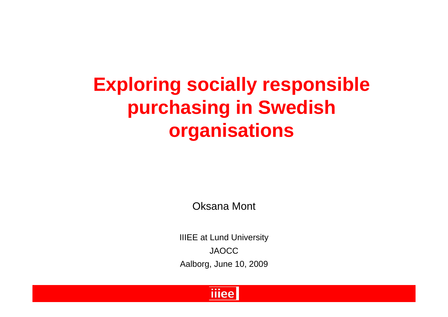#### **Exploring socially responsible purchasing in Swedish organisations**

Oksana Mont

IIIEE at Lund University JAOCCAalborg, June 10, 2009

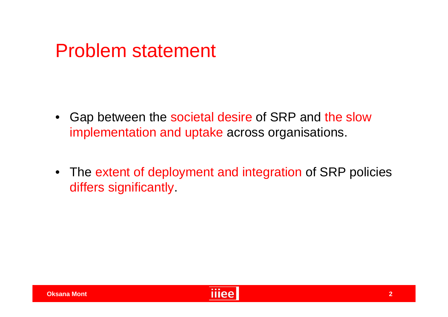#### Problem statement

- Gap between the societal desire of SRP and the slow implementation and uptake across organisations.
- The extent of deployment and integration of SRP policies differs significantly.

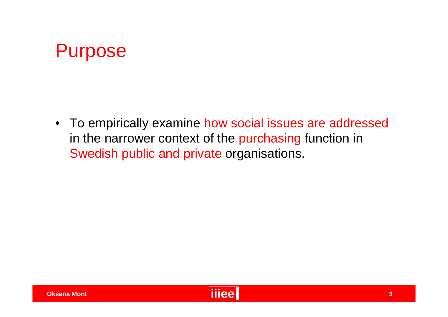

• To empirically examine how social issues are addressed in the narrower context of the purchasing function in Swedish public and private organisations.

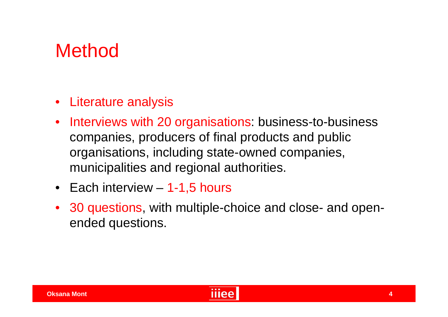#### Method

- Literature analysis
- Interviews with 20 organisations: business-to-business companies, producers of final products and public organisations, including state-owned companies, municipalities and regional authorities.
- Each interview 1-1,5 hours
- 30 questions, with multiple-choice and close- and openended questions.

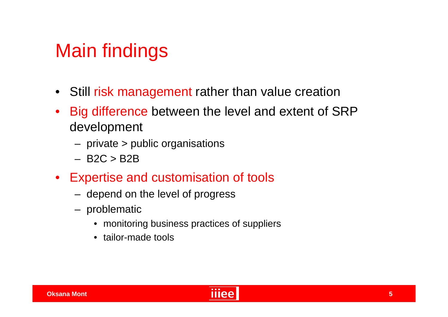#### Main findings

- Still risk management rather than value creation
- Big difference between the level and extent of SRP development
	- private > public organisations
	- $-$  B2C  $>$  B2B
- Expertise and customisation of tools
	- depend on the level of progress
	- problematic
		- monitoring business practices of suppliers
		- tailor-made tools

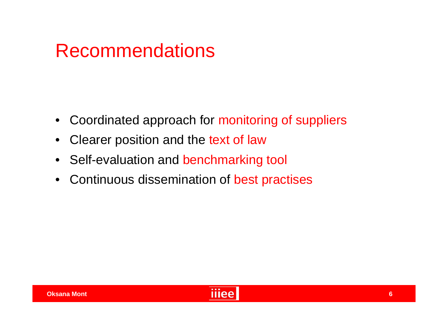#### Recommendations

- Coordinated approach for monitoring of suppliers
- Clearer position and the text of law
- Self-evaluation and benchmarking tool
- Continuous dissemination of best practises

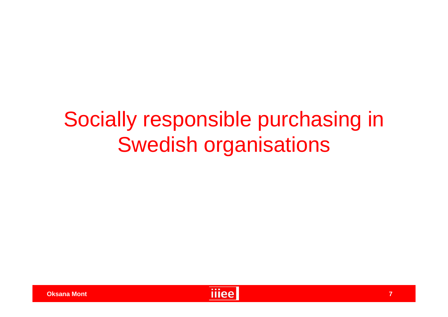## Socially responsible purchasing in Swedish organisations

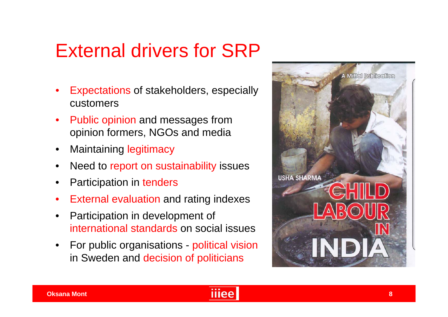#### External drivers for SRP

- Expectations of stakeholders, especially customers
- Public opinion and messages from opinion formers, NGOs and media
- **Maintaining legitimacy**
- Need to report on sustainability issues
- Participation in tenders
- **External evaluation and rating indexes**
- Participation in development of international standards on social issues
- For public organisations political vision in Sweden and decision of politicians



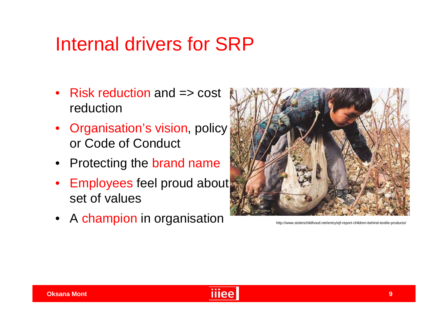#### Internal drivers for SRP

- Risk reduction and => cost reduction
- Organisation's vision, policy or Code of Conduct
- Protecting the brand name
- Employees feel proud about set of values
- A champion in organisation http://www.stolenchildhood.net/entry/ejf-report-children-behind-textile-products/



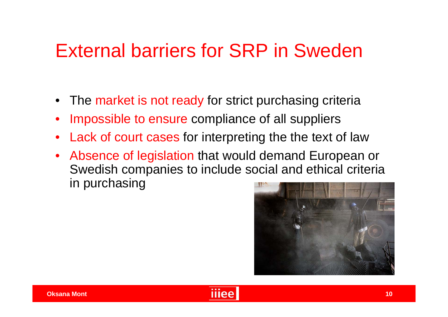#### External barriers for SRP in Sweden

- The market is not ready for strict purchasing criteria
- Impossible to ensure compliance of all suppliers
- Lack of court cases for interpreting the the text of law
- Absence of legislation that would demand European or Swedish companies to include social and ethical criteria in purchasing



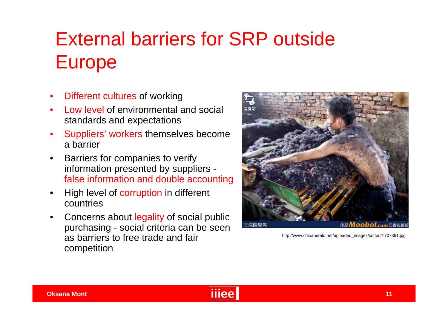#### External barriers for SRP outside Europe

- Different cultures of working
- Low level of environmental and social standards and expectations
- Suppliers' workers themselves become a barrier
- Barriers for companies to verify information presented by suppliers false information and double accounting
- High level of corruption in different countries
- Concerns about legality of social public purchasing - social criteria can be seen as barriers to free trade and fair competition



http://www.chinaherald.net/uploaded\_images/cotton2-707361.jpg

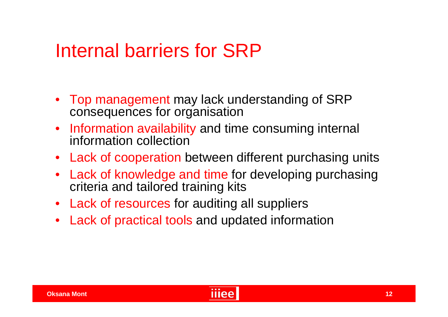#### Internal barriers for SRP

- Top management may lack understanding of SRP consequences for organisation
- Information availability and time consuming internal information collection
- Lack of cooperation between different purchasing units
- Lack of knowledge and time for developing purchasing criteria and tailored training kits
- Lack of resources for auditing all suppliers
- Lack of practical tools and updated information

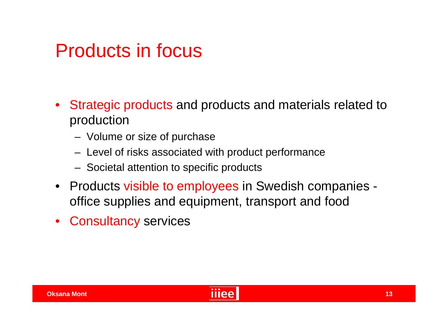#### Products in focus

- Strategic products and products and materials related to production
	- Volume or size of purchase
	- Level of risks associated with product performance
	- Societal attention to specific products
- Products visible to employees in Swedish companies office supplies and equipment, transport and food
- Consultancy services

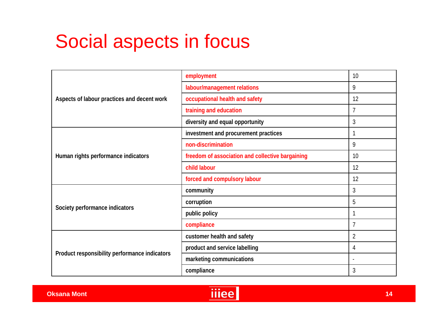#### Social aspects in focus

| Aspects of labour practices and decent work   | employment                                       | 10             |
|-----------------------------------------------|--------------------------------------------------|----------------|
|                                               | labour/management relations                      | 9              |
|                                               | occupational health and safety                   | 12             |
|                                               | training and education                           | $\overline{1}$ |
|                                               | diversity and equal opportunity                  | 3              |
| Human rights performance indicators           | investment and procurement practices             |                |
|                                               | non-discrimination                               | 9              |
|                                               | freedom of association and collective bargaining | 10             |
|                                               | child labour                                     | 12             |
|                                               | forced and compulsory labour                     | 12             |
| Society performance indicators                | community                                        | 3              |
|                                               | corruption                                       | 5              |
|                                               | public policy                                    |                |
|                                               | compliance                                       | $\overline{7}$ |
| Product responsibility performance indicators | customer health and safety                       | $\overline{2}$ |
|                                               | product and service labelling                    | 4              |
|                                               | marketing communications                         |                |
|                                               | compliance                                       | 3              |

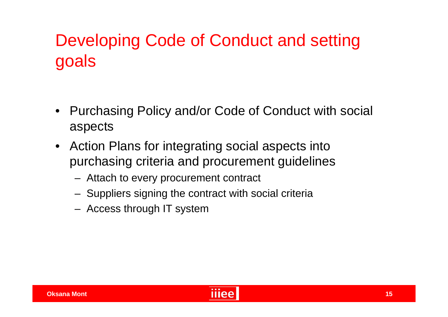#### Developing Code of Conduct and setting goals

- Purchasing Policy and/or Code of Conduct with social aspects
- Action Plans for integrating social aspects into purchasing criteria and procurement guidelines
	- Attach to every procurement contract
	- Suppliers signing the contract with social criteria
	- Access through IT system

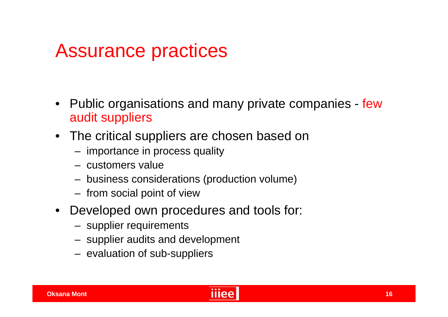#### Assurance practices

- Public organisations and many private companies few audit suppliers
- The critical suppliers are chosen based on
	- importance in process quality
	- customers value
	- business considerations (production volume)
	- from social point of view
- Developed own procedures and tools for:
	- supplier requirements
	- supplier audits and development
	- evaluation of sub-suppliers

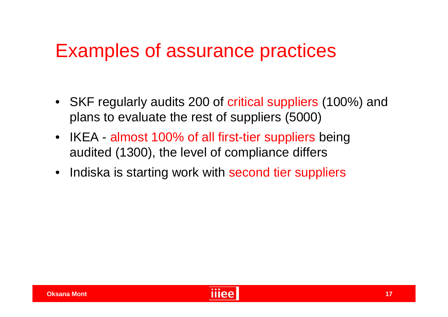#### Examples of assurance practices

- SKF regularly audits 200 of critical suppliers (100%) and plans to evaluate the rest of suppliers (5000)
- IKEA almost 100% of all first-tier suppliers being audited (1300), the level of compliance differs
- Indiska is starting work with second tier suppliers

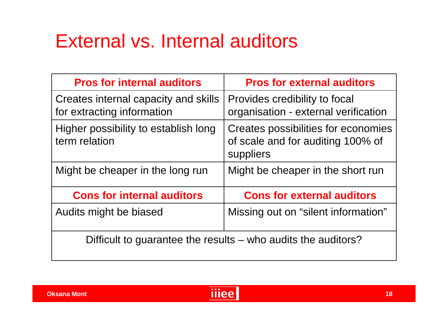#### External vs. Internal auditors

| <b>Pros for internal auditors</b>                                  | <b>Pros for external auditors</b>                                                     |  |  |  |
|--------------------------------------------------------------------|---------------------------------------------------------------------------------------|--|--|--|
| Creates internal capacity and skills<br>for extracting information | Provides credibility to focal<br>organisation - external verification                 |  |  |  |
| Higher possibility to establish long<br>term relation              | Creates possibilities for economies<br>of scale and for auditing 100% of<br>suppliers |  |  |  |
| Might be cheaper in the long run                                   | Might be cheaper in the short run                                                     |  |  |  |
| <b>Cons for internal auditors</b>                                  | <b>Cons for external auditors</b>                                                     |  |  |  |
| Audits might be biased                                             | Missing out on "silent information"                                                   |  |  |  |
| Difficult to guarantee the results – who audits the auditors?      |                                                                                       |  |  |  |

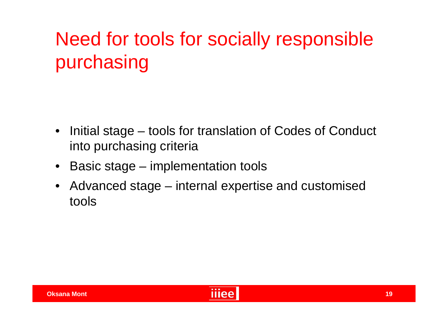#### Need for tools for socially responsible purchasing

- Initial stage tools for translation of Codes of Conduct into purchasing criteria
- Basic stage implementation tools
- Advanced stage internal expertise and customised tools

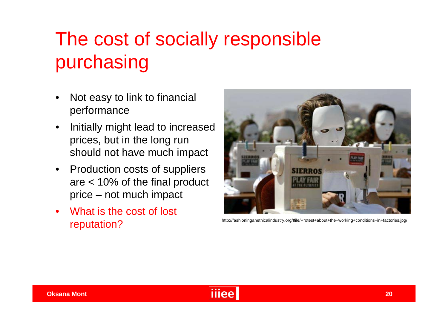#### The cost of socially responsible purchasing

- Not easy to link to financial performance
- Initially might lead to increased prices, but in the long run should not have much impact
- Production costs of suppliers are < 10% of the final product price – not much impact
- What is the cost of lost http://fashioninganethicalindustry.org/!file/Protest+about+the+working+conditions+in+factories.jpg/<br>
reputation



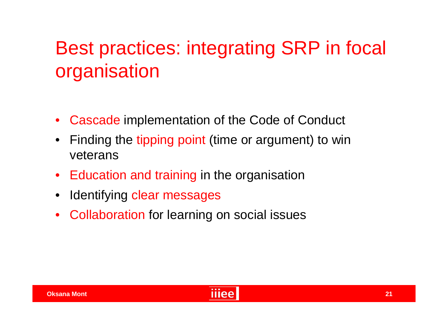#### Best practices: integrating SRP in focal organisation

- Cascade implementation of the Code of Conduct
- Finding the tipping point (time or argument) to win veterans
- Education and training in the organisation
- Identifying clear messages
- Collaboration for learning on social issues

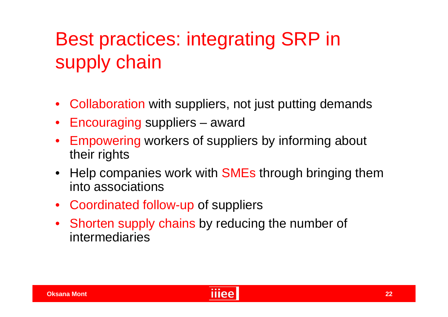#### Best practices: integrating SRP in supply chain

- Collaboration with suppliers, not just putting demands
- Encouraging suppliers award
- Empowering workers of suppliers by informing about their rights
- Help companies work with **SMEs** through bringing them into associations
- Coordinated follow-up of suppliers
- Shorten supply chains by reducing the number of intermediaries

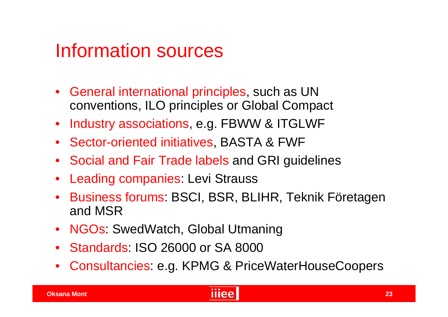#### Information sources

- General international principles, such as UN conventions, ILO principles or Global Compact
- Industry associations, e.g. FBWW & ITGLWF
- Sector-oriented initiatives, BASTA & FWF
- Social and Fair Trade labels and GRI guidelines
- Leading companies: Levi Strauss
- Business forums: BSCI, BSR, BLIHR, Teknik Företagen and MSR
- NGOs: SwedWatch, Global Utmaning
- Standards: ISO 26000 or SA 8000
- Consultancies: e.g. KPMG & PriceWaterHouseCoopers

#### **23**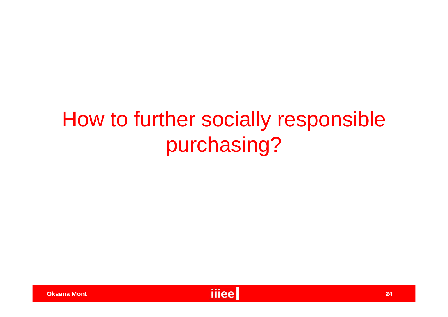## How to further socially responsible purchasing?



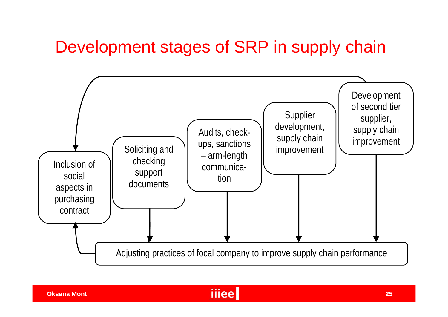#### Development stages of SRP in supply chain



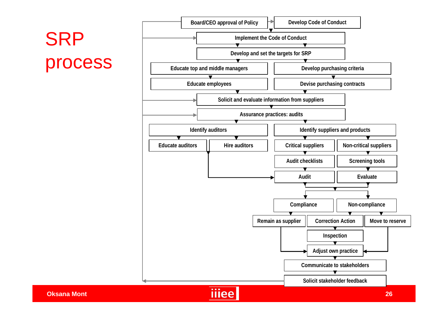# **SRP**